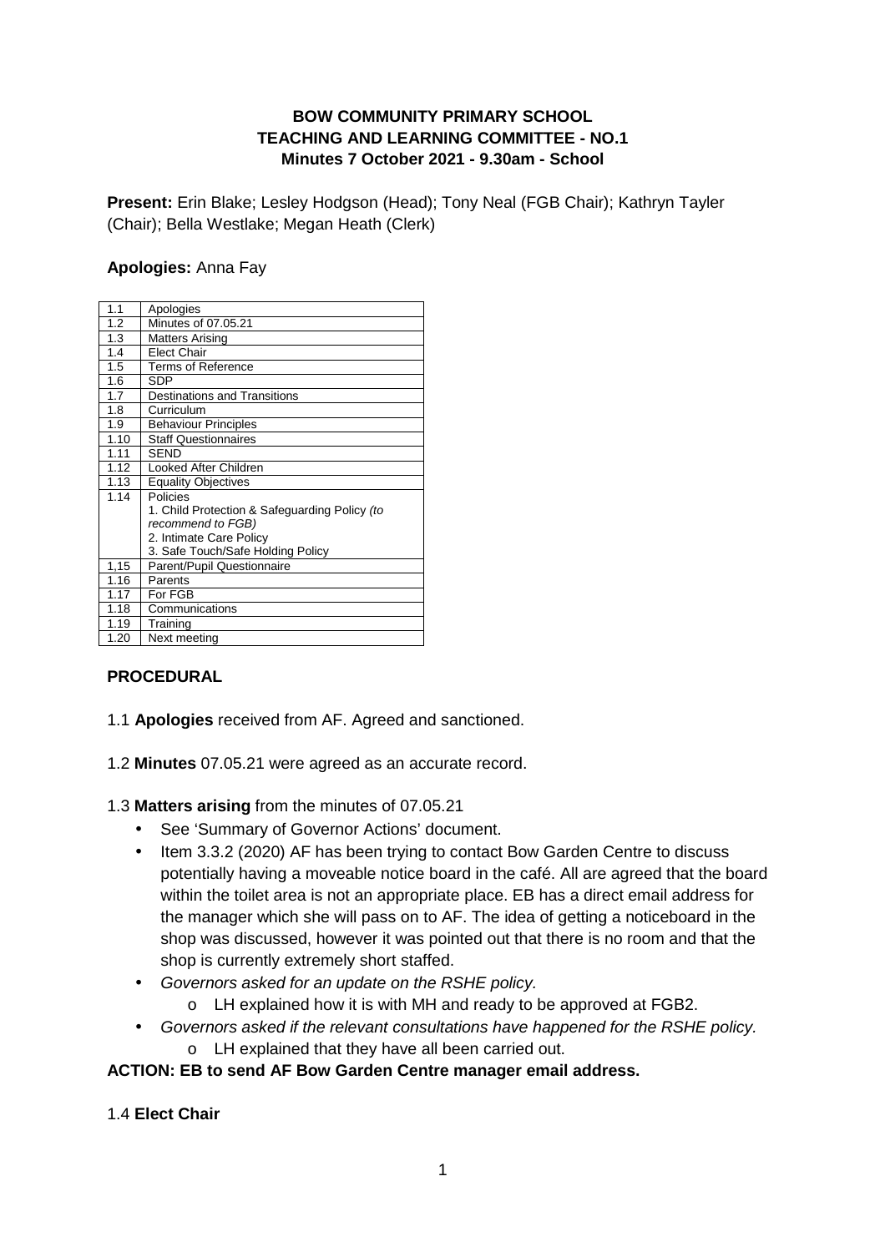## **BOW COMMUNITY PRIMARY SCHOOL TEACHING AND LEARNING COMMITTEE - NO.1 Minutes 7 October 2021 - 9.30am - School**

**Present:** Erin Blake; Lesley Hodgson (Head); Tony Neal (FGB Chair); Kathryn Tayler (Chair); Bella Westlake; Megan Heath (Clerk)

### **Apologies:** Anna Fay

| 1.1  | Apologies                                     |
|------|-----------------------------------------------|
| 1.2  | Minutes of 07.05.21                           |
| 1.3  | <b>Matters Arising</b>                        |
| 1.4  | <b>Elect Chair</b>                            |
| 1.5  | Terms of Reference                            |
| 1.6  | <b>SDP</b>                                    |
| 1.7  | <b>Destinations and Transitions</b>           |
| 1.8  | Curriculum                                    |
| 1.9  | <b>Behaviour Principles</b>                   |
| 1.10 | <b>Staff Questionnaires</b>                   |
| 1.11 | <b>SEND</b>                                   |
| 1.12 | Looked After Children                         |
| 1.13 | <b>Equality Objectives</b>                    |
| 1.14 | Policies                                      |
|      | 1. Child Protection & Safeguarding Policy (to |
|      | recommend to FGB)                             |
|      | 2. Intimate Care Policy                       |
|      | 3. Safe Touch/Safe Holding Policy             |
| 1,15 | Parent/Pupil Questionnaire                    |
| 1.16 | Parents                                       |
| 1.17 | For FGB                                       |
| 1.18 | Communications                                |
| 1.19 | Training                                      |
| 1.20 | Next meeting                                  |

# **PROCEDURAL**

- 1.1 **Apologies** received from AF. Agreed and sanctioned.
- 1.2 **Minutes** 07.05.21 were agreed as an accurate record.

### 1.3 **Matters arising** from the minutes of 07.05.21

- See 'Summary of Governor Actions' document.
- Item 3.3.2 (2020) AF has been trying to contact Bow Garden Centre to discuss potentially having a moveable notice board in the café. All are agreed that the board within the toilet area is not an appropriate place. EB has a direct email address for the manager which she will pass on to AF. The idea of getting a noticeboard in the shop was discussed, however it was pointed out that there is no room and that the shop is currently extremely short staffed.
- Governors asked for an update on the RSHE policy.
	- o LH explained how it is with MH and ready to be approved at FGB2.
- Governors asked if the relevant consultations have happened for the RSHE policy.
	- o LH explained that they have all been carried out.

### **ACTION: EB to send AF Bow Garden Centre manager email address.**

### 1.4 **Elect Chair**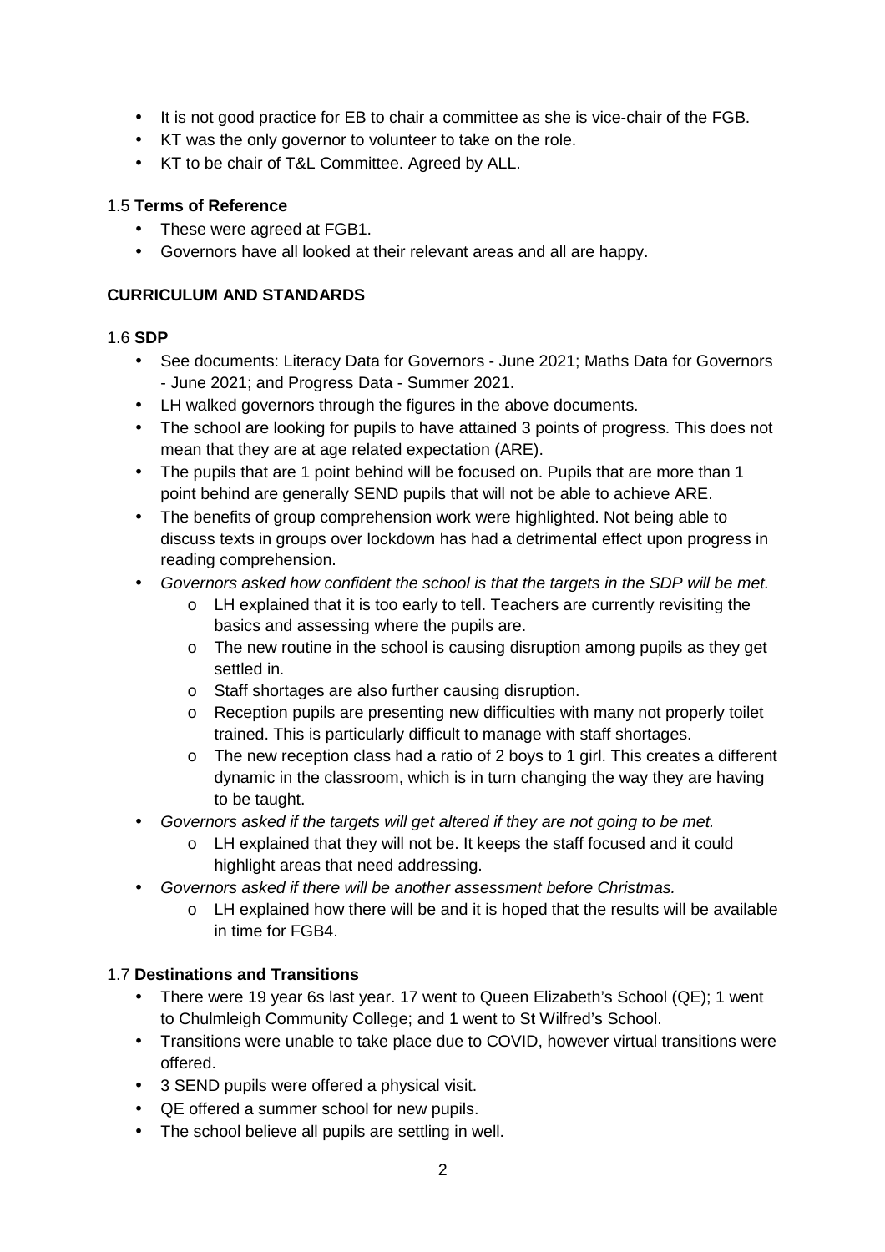- It is not good practice for EB to chair a committee as she is vice-chair of the FGB.
- KT was the only governor to volunteer to take on the role.
- KT to be chair of T&L Committee. Agreed by ALL.

### 1.5 **Terms of Reference**

- These were agreed at FGB1.
- Governors have all looked at their relevant areas and all are happy.

## **CURRICULUM AND STANDARDS**

### 1.6 **SDP**

- See documents: Literacy Data for Governors June 2021; Maths Data for Governors - June 2021; and Progress Data - Summer 2021.
- LH walked governors through the figures in the above documents.
- The school are looking for pupils to have attained 3 points of progress. This does not mean that they are at age related expectation (ARE).
- The pupils that are 1 point behind will be focused on. Pupils that are more than 1 point behind are generally SEND pupils that will not be able to achieve ARE.
- The benefits of group comprehension work were highlighted. Not being able to discuss texts in groups over lockdown has had a detrimental effect upon progress in reading comprehension.
- Governors asked how confident the school is that the targets in the SDP will be met.
	- o LH explained that it is too early to tell. Teachers are currently revisiting the basics and assessing where the pupils are.
	- $\circ$  The new routine in the school is causing disruption among pupils as they get settled in.
	- o Staff shortages are also further causing disruption.
	- o Reception pupils are presenting new difficulties with many not properly toilet trained. This is particularly difficult to manage with staff shortages.
	- o The new reception class had a ratio of 2 boys to 1 girl. This creates a different dynamic in the classroom, which is in turn changing the way they are having to be taught.
- Governors asked if the targets will get altered if they are not going to be met.
	- o LH explained that they will not be. It keeps the staff focused and it could highlight areas that need addressing.
- Governors asked if there will be another assessment before Christmas.
	- o LH explained how there will be and it is hoped that the results will be available in time for FGB4.

# 1.7 **Destinations and Transitions**

- There were 19 year 6s last year. 17 went to Queen Elizabeth's School (QE); 1 went to Chulmleigh Community College; and 1 went to St Wilfred's School.
- Transitions were unable to take place due to COVID, however virtual transitions were offered.
- 3 SEND pupils were offered a physical visit.
- QE offered a summer school for new pupils.
- The school believe all pupils are settling in well.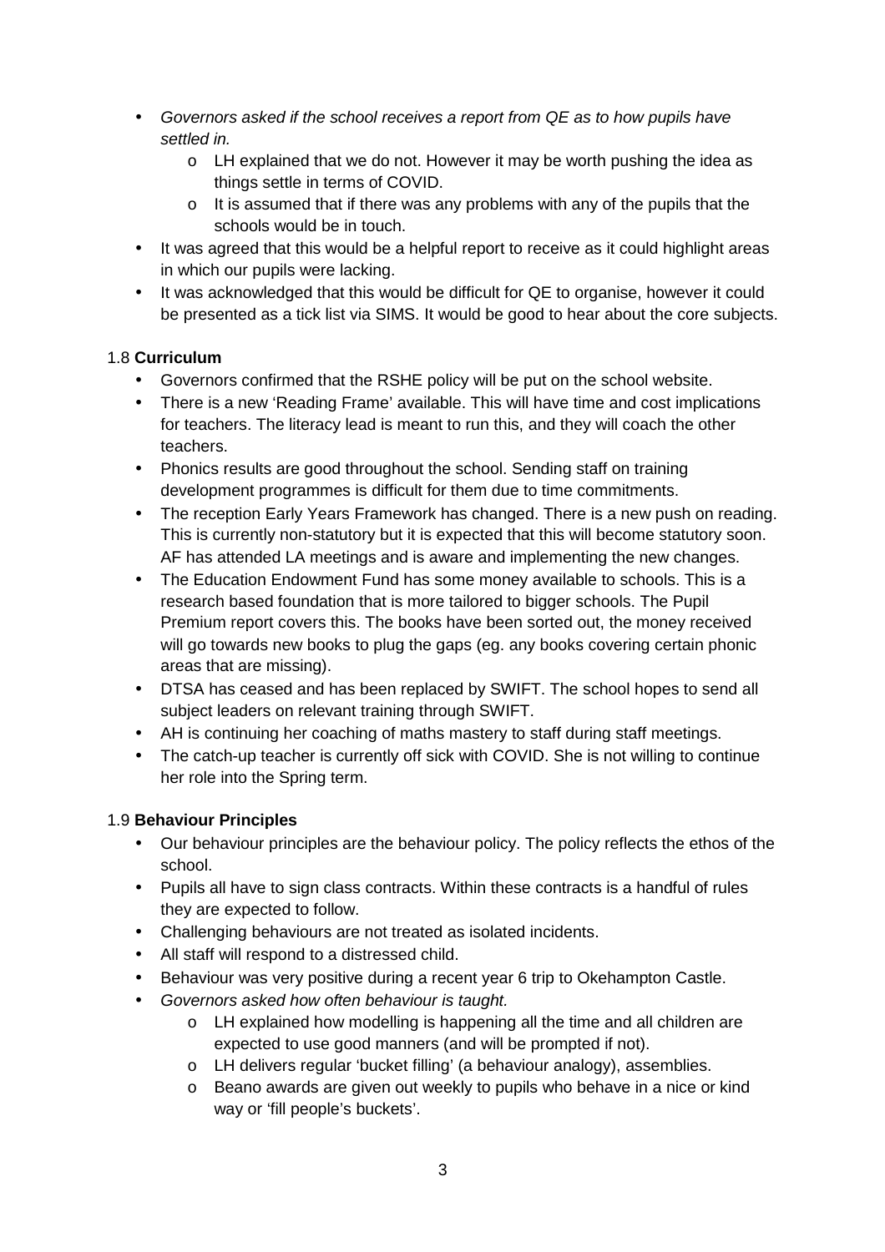- Governors asked if the school receives a report from QE as to how pupils have settled in.
	- o LH explained that we do not. However it may be worth pushing the idea as things settle in terms of COVID.
	- $\circ$  It is assumed that if there was any problems with any of the pupils that the schools would be in touch.
- It was agreed that this would be a helpful report to receive as it could highlight areas in which our pupils were lacking.
- It was acknowledged that this would be difficult for QE to organise, however it could be presented as a tick list via SIMS. It would be good to hear about the core subjects.

## 1.8 **Curriculum**

- Governors confirmed that the RSHE policy will be put on the school website.
- There is a new 'Reading Frame' available. This will have time and cost implications for teachers. The literacy lead is meant to run this, and they will coach the other teachers.
- Phonics results are good throughout the school. Sending staff on training development programmes is difficult for them due to time commitments.
- The reception Early Years Framework has changed. There is a new push on reading. This is currently non-statutory but it is expected that this will become statutory soon. AF has attended LA meetings and is aware and implementing the new changes.
- The Education Endowment Fund has some money available to schools. This is a research based foundation that is more tailored to bigger schools. The Pupil Premium report covers this. The books have been sorted out, the money received will go towards new books to plug the gaps (eg. any books covering certain phonic areas that are missing).
- DTSA has ceased and has been replaced by SWIFT. The school hopes to send all subject leaders on relevant training through SWIFT.
- AH is continuing her coaching of maths mastery to staff during staff meetings.
- The catch-up teacher is currently off sick with COVID. She is not willing to continue her role into the Spring term.

# 1.9 **Behaviour Principles**

- Our behaviour principles are the behaviour policy. The policy reflects the ethos of the school.
- Pupils all have to sign class contracts. Within these contracts is a handful of rules they are expected to follow.
- Challenging behaviours are not treated as isolated incidents.
- All staff will respond to a distressed child.
- Behaviour was very positive during a recent year 6 trip to Okehampton Castle.
- Governors asked how often behaviour is taught.
	- o LH explained how modelling is happening all the time and all children are expected to use good manners (and will be prompted if not).
	- o LH delivers regular 'bucket filling' (a behaviour analogy), assemblies.
	- o Beano awards are given out weekly to pupils who behave in a nice or kind way or 'fill people's buckets'.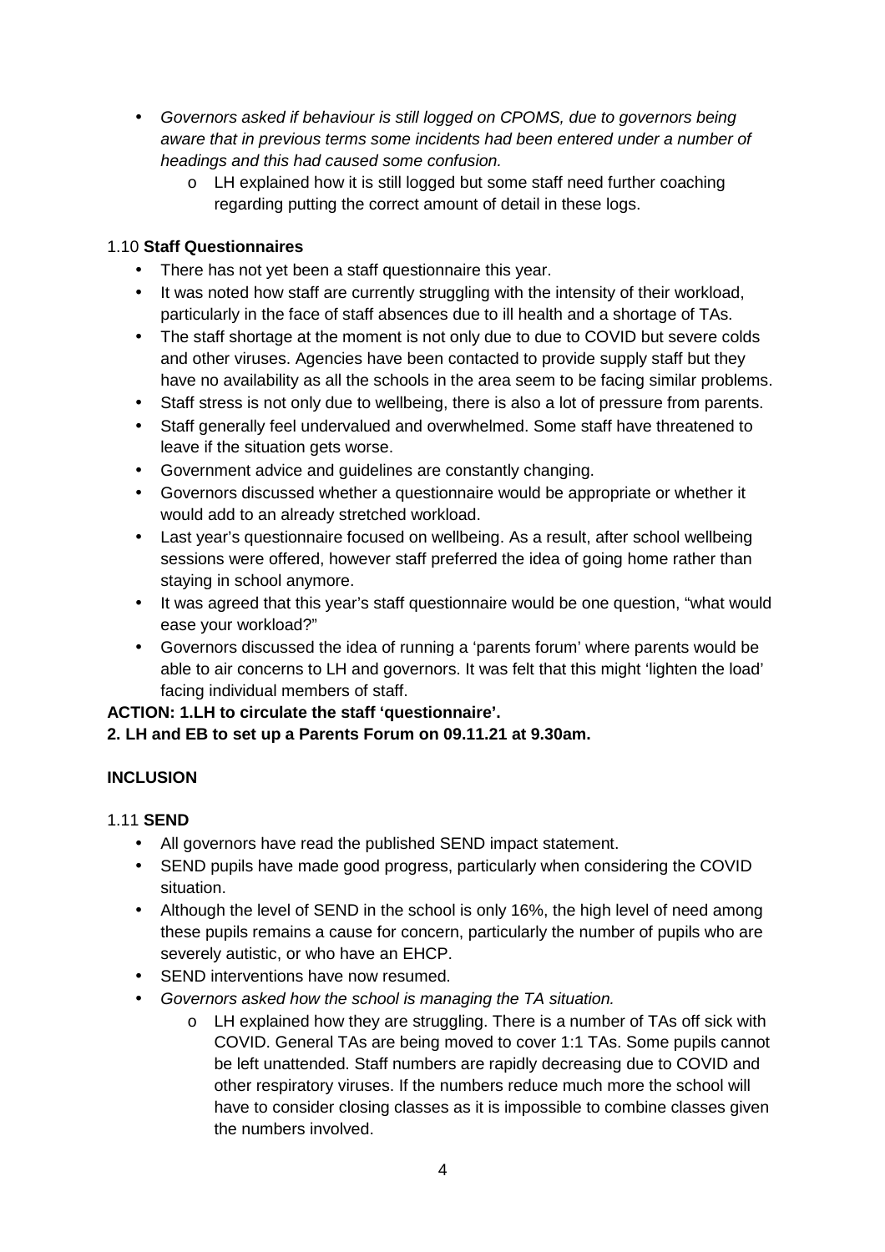- Governors asked if behaviour is still logged on CPOMS, due to governors being aware that in previous terms some incidents had been entered under a number of headings and this had caused some confusion.
	- o LH explained how it is still logged but some staff need further coaching regarding putting the correct amount of detail in these logs.

## 1.10 **Staff Questionnaires**

- There has not yet been a staff questionnaire this year.
- It was noted how staff are currently struggling with the intensity of their workload, particularly in the face of staff absences due to ill health and a shortage of TAs.
- The staff shortage at the moment is not only due to due to COVID but severe colds and other viruses. Agencies have been contacted to provide supply staff but they have no availability as all the schools in the area seem to be facing similar problems.
- Staff stress is not only due to wellbeing, there is also a lot of pressure from parents.
- Staff generally feel undervalued and overwhelmed. Some staff have threatened to leave if the situation gets worse.
- Government advice and guidelines are constantly changing.
- Governors discussed whether a questionnaire would be appropriate or whether it would add to an already stretched workload.
- Last year's questionnaire focused on wellbeing. As a result, after school wellbeing sessions were offered, however staff preferred the idea of going home rather than staying in school anymore.
- It was agreed that this year's staff questionnaire would be one question, "what would ease your workload?"
- Governors discussed the idea of running a 'parents forum' where parents would be able to air concerns to LH and governors. It was felt that this might 'lighten the load' facing individual members of staff.

### **ACTION: 1.LH to circulate the staff 'questionnaire'.**

### **2. LH and EB to set up a Parents Forum on 09.11.21 at 9.30am.**

# **INCLUSION**

# 1.11 **SEND**

- All governors have read the published SEND impact statement.
- SEND pupils have made good progress, particularly when considering the COVID situation.
- Although the level of SEND in the school is only 16%, the high level of need among these pupils remains a cause for concern, particularly the number of pupils who are severely autistic, or who have an EHCP.
- SEND interventions have now resumed.
- Governors asked how the school is managing the TA situation.
	- o LH explained how they are struggling. There is a number of TAs off sick with COVID. General TAs are being moved to cover 1:1 TAs. Some pupils cannot be left unattended. Staff numbers are rapidly decreasing due to COVID and other respiratory viruses. If the numbers reduce much more the school will have to consider closing classes as it is impossible to combine classes given the numbers involved.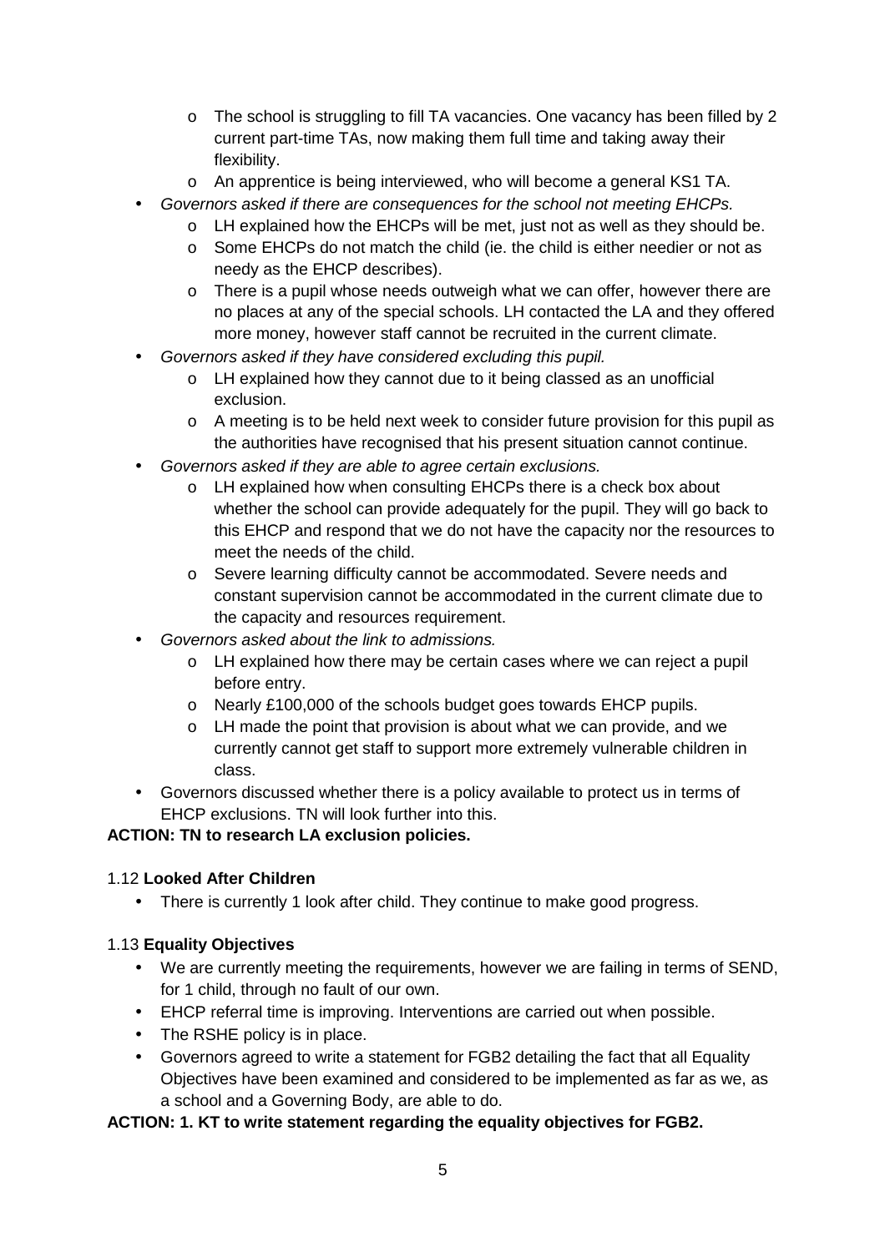- $\circ$  The school is struggling to fill TA vacancies. One vacancy has been filled by 2 current part-time TAs, now making them full time and taking away their flexibility.
- o An apprentice is being interviewed, who will become a general KS1 TA.
- Governors asked if there are consequences for the school not meeting EHCPs.
	- $\circ$  LH explained how the EHCPs will be met, just not as well as they should be.
	- o Some EHCPs do not match the child (ie. the child is either needier or not as needy as the EHCP describes).
	- o There is a pupil whose needs outweigh what we can offer, however there are no places at any of the special schools. LH contacted the LA and they offered more money, however staff cannot be recruited in the current climate.
- Governors asked if they have considered excluding this pupil.
	- o LH explained how they cannot due to it being classed as an unofficial exclusion.
	- o A meeting is to be held next week to consider future provision for this pupil as the authorities have recognised that his present situation cannot continue.
- Governors asked if they are able to agree certain exclusions.
	- o LH explained how when consulting EHCPs there is a check box about whether the school can provide adequately for the pupil. They will go back to this EHCP and respond that we do not have the capacity nor the resources to meet the needs of the child.
	- o Severe learning difficulty cannot be accommodated. Severe needs and constant supervision cannot be accommodated in the current climate due to the capacity and resources requirement.
- Governors asked about the link to admissions.
	- o LH explained how there may be certain cases where we can reject a pupil before entry.
	- o Nearly £100,000 of the schools budget goes towards EHCP pupils.
	- o LH made the point that provision is about what we can provide, and we currently cannot get staff to support more extremely vulnerable children in class.
- Governors discussed whether there is a policy available to protect us in terms of EHCP exclusions. TN will look further into this.

### **ACTION: TN to research LA exclusion policies.**

### 1.12 **Looked After Children**

• There is currently 1 look after child. They continue to make good progress.

### 1.13 **Equality Objectives**

- We are currently meeting the requirements, however we are failing in terms of SEND, for 1 child, through no fault of our own.
- EHCP referral time is improving. Interventions are carried out when possible.
- The RSHE policy is in place.
- Governors agreed to write a statement for FGB2 detailing the fact that all Equality Objectives have been examined and considered to be implemented as far as we, as a school and a Governing Body, are able to do.

### **ACTION: 1. KT to write statement regarding the equality objectives for FGB2.**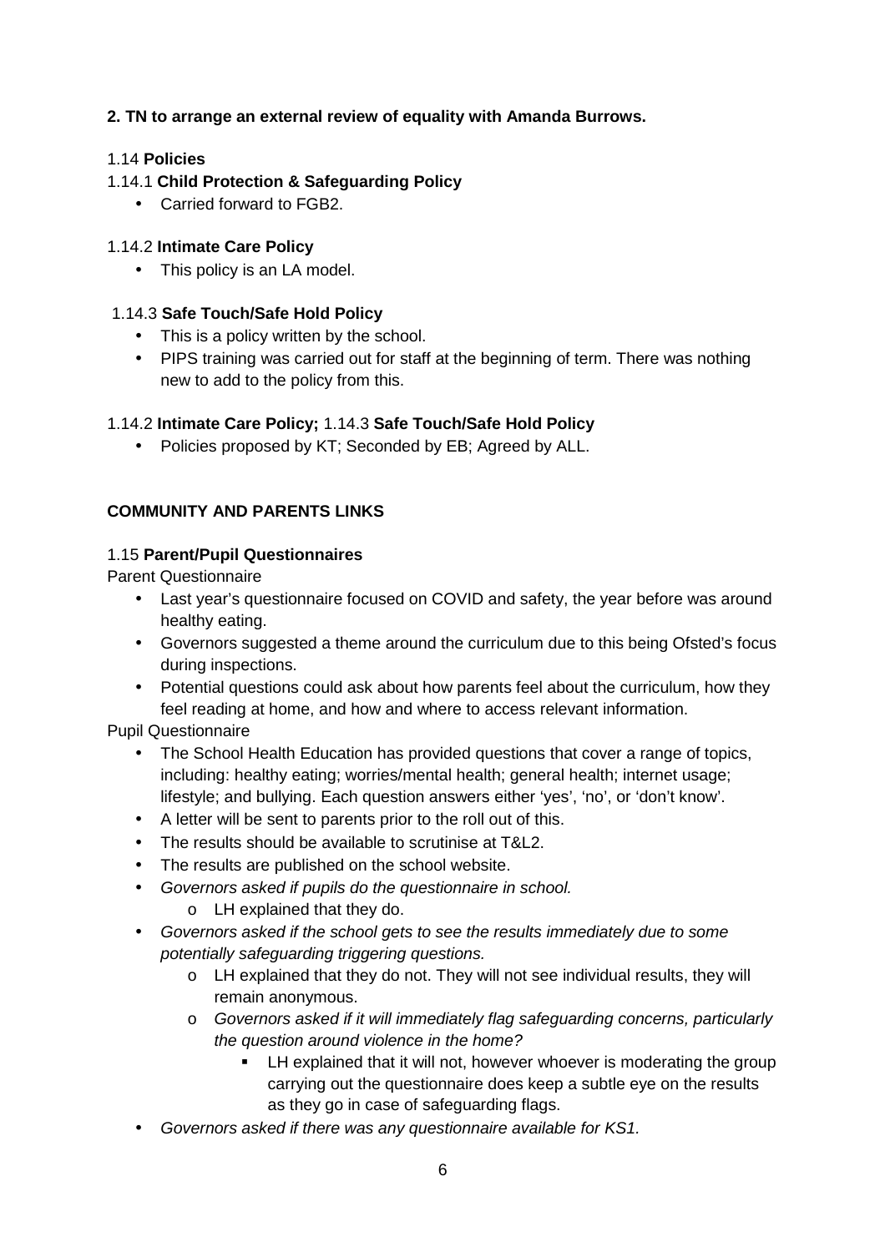## **2. TN to arrange an external review of equality with Amanda Burrows.**

#### 1.14 **Policies**

### 1.14.1 **Child Protection & Safeguarding Policy**

• Carried forward to FGB2.

#### 1.14.2 **Intimate Care Policy**

• This policy is an LA model.

#### 1.14.3 **Safe Touch/Safe Hold Policy**

- This is a policy written by the school.
- PIPS training was carried out for staff at the beginning of term. There was nothing new to add to the policy from this.

#### 1.14.2 **Intimate Care Policy;** 1.14.3 **Safe Touch/Safe Hold Policy**

• Policies proposed by KT; Seconded by EB; Agreed by ALL.

#### **COMMUNITY AND PARENTS LINKS**

#### 1.15 **Parent/Pupil Questionnaires**

Parent Questionnaire

- Last year's questionnaire focused on COVID and safety, the year before was around healthy eating.
- Governors suggested a theme around the curriculum due to this being Ofsted's focus during inspections.
- Potential questions could ask about how parents feel about the curriculum, how they feel reading at home, and how and where to access relevant information.

Pupil Questionnaire

- The School Health Education has provided questions that cover a range of topics, including: healthy eating; worries/mental health; general health; internet usage; lifestyle; and bullying. Each question answers either 'yes', 'no', or 'don't know'.
- A letter will be sent to parents prior to the roll out of this.
- The results should be available to scrutinise at T&L2.
- The results are published on the school website.
- Governors asked if pupils do the questionnaire in school.
	- o LH explained that they do.
- Governors asked if the school gets to see the results immediately due to some potentially safeguarding triggering questions.
	- $\circ$  LH explained that they do not. They will not see individual results, they will remain anonymous.
	- o Governors asked if it will immediately flag safeguarding concerns, particularly the question around violence in the home?
		- **EXECT** LH explained that it will not, however whoever is moderating the group carrying out the questionnaire does keep a subtle eye on the results as they go in case of safeguarding flags.
- Governors asked if there was any questionnaire available for KS1.